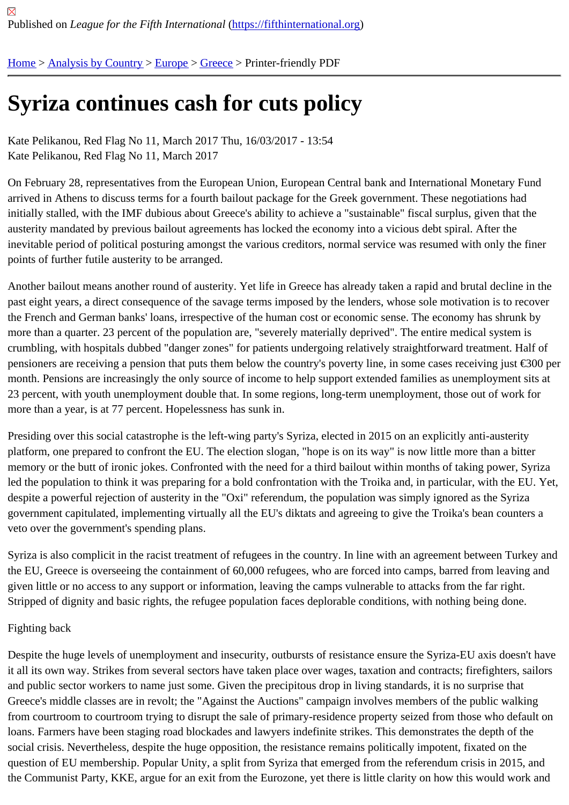## [Syr](https://fifthinternational.org/)i[za continu](https://fifthinternational.org/category/1)[es c](https://fifthinternational.org/category/1/128)[ash](https://fifthinternational.org/category/1/128/147) for cuts policy

Kate Pelikanou, Red Flag No 11, March 2017 Thu, 16/03/2017 - 13:54 Kate Pelikanou, Red Flag No 11, March 2017

On February 28, representatives from the European Union, European Central bank and International Monetary Fu arrived in Athens to discuss terms for a fourth bailout package for the Greek government. These negotiations had initially stalled, with the IMF dubious about Greece's ability to achieve a "sustainable" fiscal surplus, given that the austerity mandated by previous bailout agreements has locked the economy into a vicious debt spiral. After the inevitable period of political posturing amongst the various creditors, normal service was resumed with only the fin points of further futile austerity to be arranged.

Another bailout means another round of austerity. Yet life in Greece has already taken a rapid and brutal decline in past eight years, a direct consequence of the savage terms imposed by the lenders, whose sole motivation is to re the French and German banks' loans, irrespective of the human cost or economic sense. The economy has shrun more than a quarter. 23 percent of the population are, "severely materially deprived". The entire medical system is crumbling, with hospitals dubbed "danger zones" for patients undergoing relatively straightforward treatment. Half pensioners are receiving a pension that puts them below the country's poverty line, in some cases receiving just  $\in$ month. Pensions are increasingly the only source of income to help support extended families as unemployment s 23 percent, with youth unemployment double that. In some regions, long-term unemployment, those out of work fo more than a year, is at 77 percent. Hopelessness has sunk in.

Presiding over this social catastrophe is the left-wing party's Syriza, elected in 2015 on an explicitly anti-austerity platform, one prepared to confront the EU. The election slogan, "hope is on its way" is now little more than a bitter memory or the butt of ironic jokes. Confronted with the need for a third bailout within months of taking power, Syriz led the population to think it was preparing for a bold confrontation with the Troika and, in particular, with the EU. Y despite a powerful rejection of austerity in the "Oxi" referendum, the population was simply ignored as the Syriza government capitulated, implementing virtually all the EU's diktats and agreeing to give the Troika's bean counters veto over the government's spending plans.

Syriza is also complicit in the racist treatment of refugees in the country. In line with an agreement between Turkey the EU, Greece is overseeing the containment of 60,000 refugees, who are forced into camps, barred from leaving given little or no access to any support or information, leaving the camps vulnerable to attacks from the far right. Stripped of dignity and basic rights, the refugee population faces deplorable conditions, with nothing being done.

## Fighting back

Despite the huge levels of unemployment and insecurity, outbursts of resistance ensure the Syriza-EU axis doesn it all its own way. Strikes from several sectors have taken place over wages, taxation and contracts; firefighters, sa and public sector workers to name just some. Given the precipitous drop in living standards, it is no surprise that Greece's middle classes are in revolt; the "Against the Auctions" campaign involves members of the public walking from courtroom to courtroom trying to disrupt the sale of primary-residence property seized from those who default loans. Farmers have been staging road blockades and lawyers indefinite strikes. This demonstrates the depth of tl social crisis. Nevertheless, despite the huge opposition, the resistance remains politically impotent, fixated on the question of EU membership. Popular Unity, a split from Syriza that emerged from the referendum crisis in 2015, an the Communist Party, KKE, argue for an exit from the Eurozone, yet there is little clarity on how this would work ar